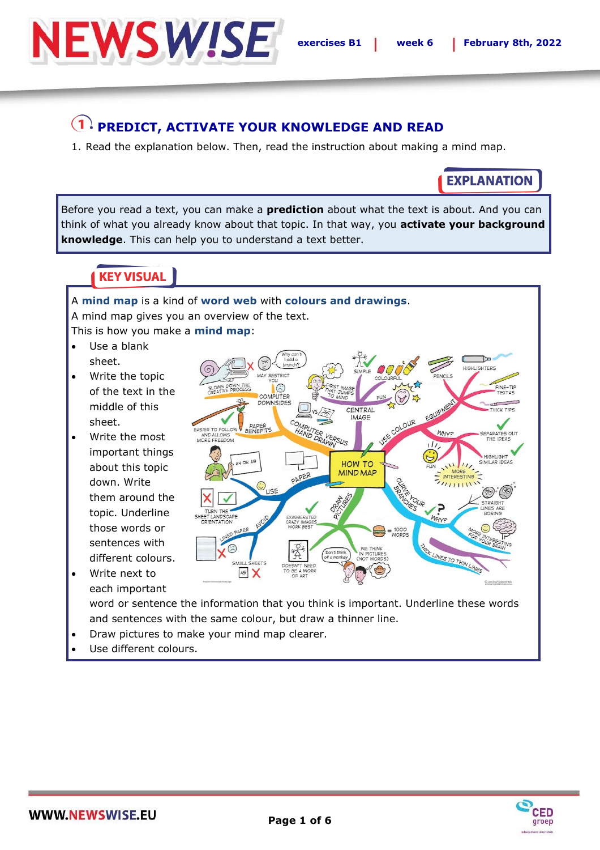

### **PREDICT, ACTIVATE YOUR KNOWLEDGE AND READ**

1. Read the explanation below. Then, read the instruction about making a mind map.

**EXPLANATION** 

Before you read a text, you can make a **prediction** about what the text is about. And you can think of what you already know about that topic. In that way, you **activate your background knowledge**. This can help you to understand a text better.

### **KEY VISUAL**

A **mind map** is a kind of **word web** with **colours and drawings**. A mind map gives you an overview of the text. This is how you make a **mind map**:

- Use a blank sheet.
- Write the topic of the text in the middle of this sheet.
- Write the most important things about this topic down. Write them around the topic. Underline those words or sentences with different colours.
- Write next to each important



word or sentence the information that you think is important. Underline these words and sentences with the same colour, but draw a thinner line.

- Draw pictures to make your mind map clearer.
- Use different colours.

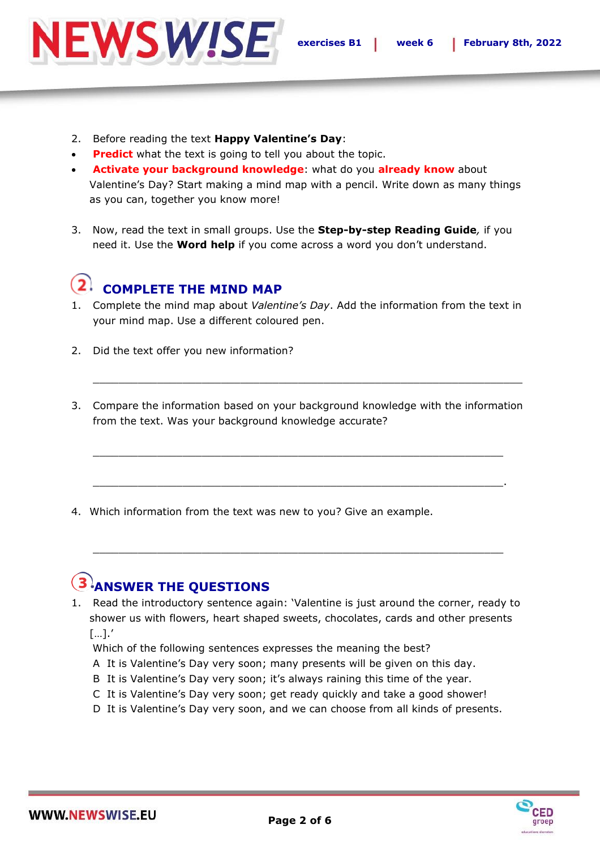

- 2. Before reading the text **Happy Valentine's Day**:
- **Predict** what the text is going to tell you about the topic.
- **Activate your background knowledge**: what do you **already know** about Valentine's Day? Start making a mind map with a pencil. Write down as many things as you can, together you know more!
- 3. Now, read the text in small groups. Use the **Step-by-step Reading Guide***,* if you need it. Use the **Word help** if you come across a word you don't understand.

## **COMPLETE THE MIND MAP**

- 1. Complete the mind map about *Valentine's Day*. Add the information from the text in your mind map. Use a different coloured pen.
- 2. Did the text offer you new information?
- 3. Compare the information based on your background knowledge with the information from the text. Was your background knowledge accurate?

 $\_$  , and the set of the set of the set of the set of the set of the set of the set of the set of the set of the set of the set of the set of the set of the set of the set of the set of the set of the set of the set of th

 $\_$  , and the set of the set of the set of the set of the set of the set of the set of the set of the set of the set of the set of the set of the set of the set of the set of the set of the set of the set of the set of th

 $\_$  , and the set of the set of the set of the set of the set of the set of the set of the set of the set of the set of the set of the set of the set of the set of the set of the set of the set of the set of the set of th

4. Which information from the text was new to you? Give an example.

# **ANSWER THE QUESTIONS**

1. Read the introductory sentence again: 'Valentine is just around the corner, ready to shower us with flowers, heart shaped sweets, chocolates, cards and other presents […].'

 $\_$  , and the set of the set of the set of the set of the set of the set of the set of the set of the set of the set of the set of the set of the set of the set of the set of the set of the set of the set of the set of th

- Which of the following sentences expresses the meaning the best?
- A It is Valentine's Day very soon; many presents will be given on this day.
- B It is Valentine's Day very soon; it's always raining this time of the year.
- C It is Valentine's Day very soon; get ready quickly and take a good shower!
- D It is Valentine's Day very soon, and we can choose from all kinds of presents.

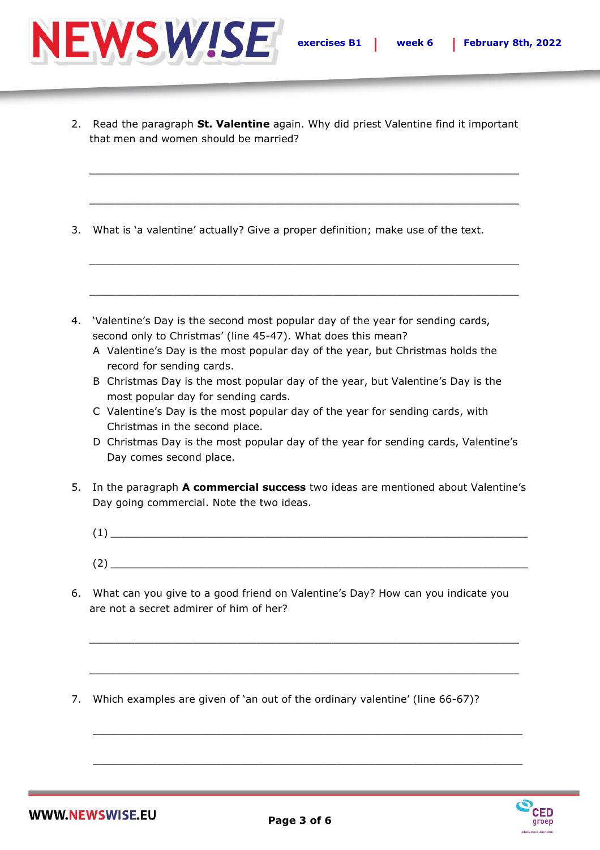

2. Read the paragraph **St. Valentine** again. Why did priest Valentine find it important that men and women should be married?

 $\_$  , and the set of the set of the set of the set of the set of the set of the set of the set of the set of the set of the set of the set of the set of the set of the set of the set of the set of the set of the set of th

 $\_$  , and the set of the set of the set of the set of the set of the set of the set of the set of the set of the set of the set of the set of the set of the set of the set of the set of the set of the set of the set of th

 $\_$  , and the set of the set of the set of the set of the set of the set of the set of the set of the set of the set of the set of the set of the set of the set of the set of the set of the set of the set of the set of th

 $\_$  , and the set of the set of the set of the set of the set of the set of the set of the set of the set of the set of the set of the set of the set of the set of the set of the set of the set of the set of the set of th

- 3. What is 'a valentine' actually? Give a proper definition; make use of the text.
- 4. 'Valentine's Day is the second most popular day of the year for sending cards, second only to Christmas' (line 45-47). What does this mean?
	- A Valentine's Day is the most popular day of the year, but Christmas holds the record for sending cards.
	- B Christmas Day is the most popular day of the year, but Valentine's Day is the most popular day for sending cards.
	- C Valentine's Day is the most popular day of the year for sending cards, with Christmas in the second place.
	- D Christmas Day is the most popular day of the year for sending cards, Valentine's Day comes second place.
- 5. In the paragraph **A commercial success** two ideas are mentioned about Valentine's Day going commercial. Note the two ideas.
	- (1) \_\_\_\_\_\_\_\_\_\_\_\_\_\_\_\_\_\_\_\_\_\_\_\_\_\_\_\_\_\_\_\_\_\_\_\_\_\_\_\_\_\_\_\_\_\_\_\_\_\_\_\_\_\_\_\_\_\_\_\_\_\_\_\_\_  $(2)$   $\_{\_}$
- 6. What can you give to a good friend on Valentine's Day? How can you indicate you are not a secret admirer of him of her?

 $\_$  , and the set of the set of the set of the set of the set of the set of the set of the set of the set of the set of the set of the set of the set of the set of the set of the set of the set of the set of the set of th

 $\_$  , and the set of the set of the set of the set of the set of the set of the set of the set of the set of the set of the set of the set of the set of the set of the set of the set of the set of the set of the set of th

 $\_$  , and the set of the set of the set of the set of the set of the set of the set of the set of the set of the set of the set of the set of the set of the set of the set of the set of the set of the set of the set of th

 $\_$  , and the set of the set of the set of the set of the set of the set of the set of the set of the set of the set of the set of the set of the set of the set of the set of the set of the set of the set of the set of th

7. Which examples are given of 'an out of the ordinary valentine' (line 66-67)?

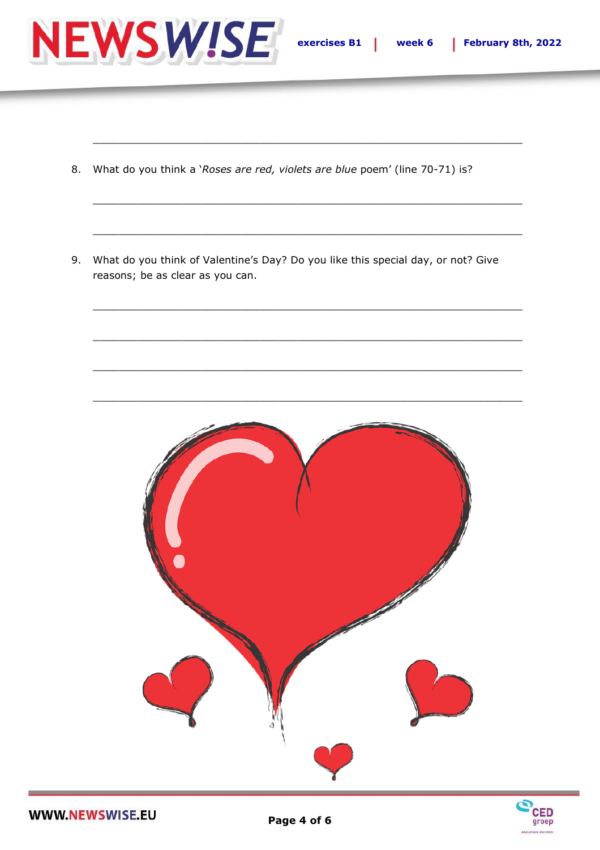

- 8. What do you think a 'Roses are red, violets are blue poem' (line 70-71) is?
- 9. What do you think of Valentine's Day? Do you like this special day, or not? Give reasons; be as clear as you can.



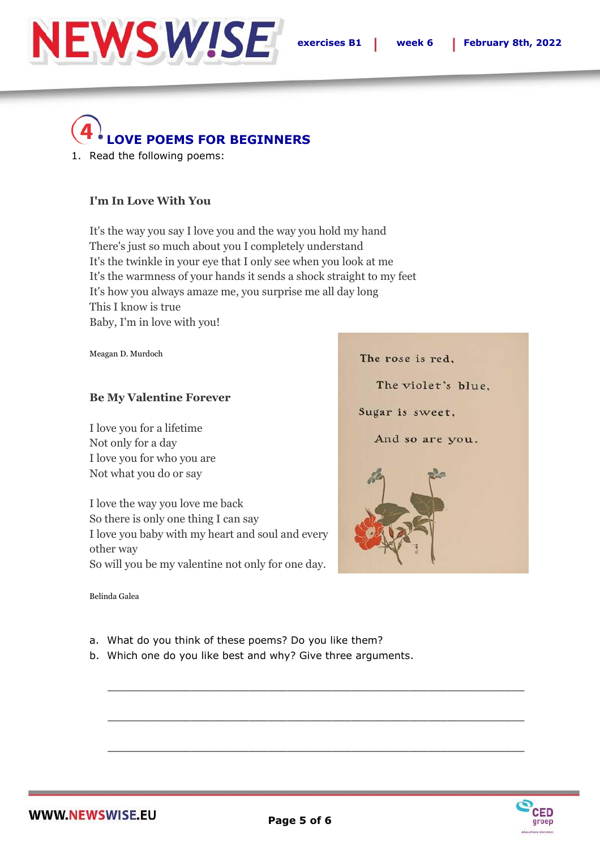

The rose is red,

Sugar is sweet.

The violet's blue.

And so are you.

# **LOVE POEMS FOR BEGINNERS**

1. Read the following poems:

#### **I'm In Love With You**

It's the way you say I love you and the way you hold my hand There's just so much about you I completely understand It's the twinkle in your eye that I only see when you look at me It's the warmness of your hands it sends a shock straight to my feet It's how you always amaze me, you surprise me all day long This I know is true Baby, I'm in love with you!

Meagan D. Murdoch

#### **Be My Valentine Forever**

I love you for a lifetime Not only for a day I love you for who you are Not what you do or say

I love the way you love me back So there is only one thing I can say I love you baby with my heart and soul and every other way So will you be my valentine not only for one day.

Belinda Galea

- a. What do you think of these poems? Do you like them?
- b. Which one do you like best and why? Give three arguments.



 $\_$  , and the set of the set of the set of the set of the set of the set of the set of the set of the set of the set of the set of the set of the set of the set of the set of the set of the set of the set of the set of th

 $\_$  , and the set of the set of the set of the set of the set of the set of the set of the set of the set of the set of the set of the set of the set of the set of the set of the set of the set of the set of the set of th

 $\_$  , and the set of the set of the set of the set of the set of the set of the set of the set of the set of the set of the set of the set of the set of the set of the set of the set of the set of the set of the set of th